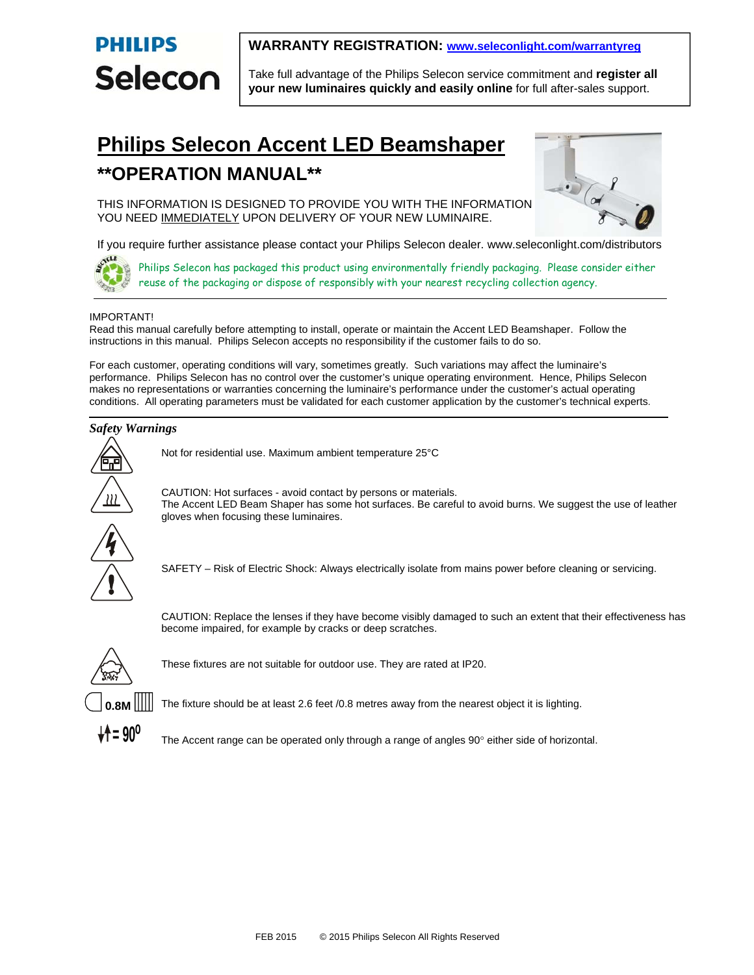

## **WARRANTY REGISTRATION: www.seleconlight.com/warrantyreg**

Take full advantage of the Philips Selecon service commitment and **register all your new luminaires quickly and easily online** for full after-sales support.

# **Philips Selecon Accent LED Beamshaper \*\*OPERATION MANUAL\*\***



THIS INFORMATION IS DESIGNED TO PROVIDE YOU WITH THE INFORMATION YOU NEED IMMEDIATELY UPON DELIVERY OF YOUR NEW LUMINAIRE.

If you require further assistance please contact your Philips Selecon dealer. www.seleconlight.com/distributors



Philips Selecon has packaged this product using environmentally friendly packaging. Please consider either reuse of the packaging or dispose of responsibly with your nearest recycling collection agency.

## IMPORTANT!

Read this manual carefully before attempting to install, operate or maintain the Accent LED Beamshaper. Follow the instructions in this manual. Philips Selecon accepts no responsibility if the customer fails to do so.

For each customer, operating conditions will vary, sometimes greatly. Such variations may affect the luminaire's performance. Philips Selecon has no control over the customer's unique operating environment. Hence, Philips Selecon makes no representations or warranties concerning the luminaire's performance under the customer's actual operating conditions. All operating parameters must be validated for each customer application by the customer's technical experts.

## *Safety Warnings*



Not for residential use. Maximum ambient temperature 25°C

CAUTION: Hot surfaces - avoid contact by persons or materials. The Accent LED Beam Shaper has some hot surfaces. Be careful to avoid burns. We suggest the use of leather gloves when focusing these luminaires.



SAFETY – Risk of Electric Shock: Always electrically isolate from mains power before cleaning or servicing.

CAUTION: Replace the lenses if they have become visibly damaged to such an extent that their effectiveness has become impaired, for example by cracks or deep scratches.



These fixtures are not suitable for outdoor use. They are rated at IP20.



The fixture should be at least 2.6 feet /0.8 metres away from the nearest object it is lighting.



The Accent range can be operated only through a range of angles  $90^\circ$  either side of horizontal.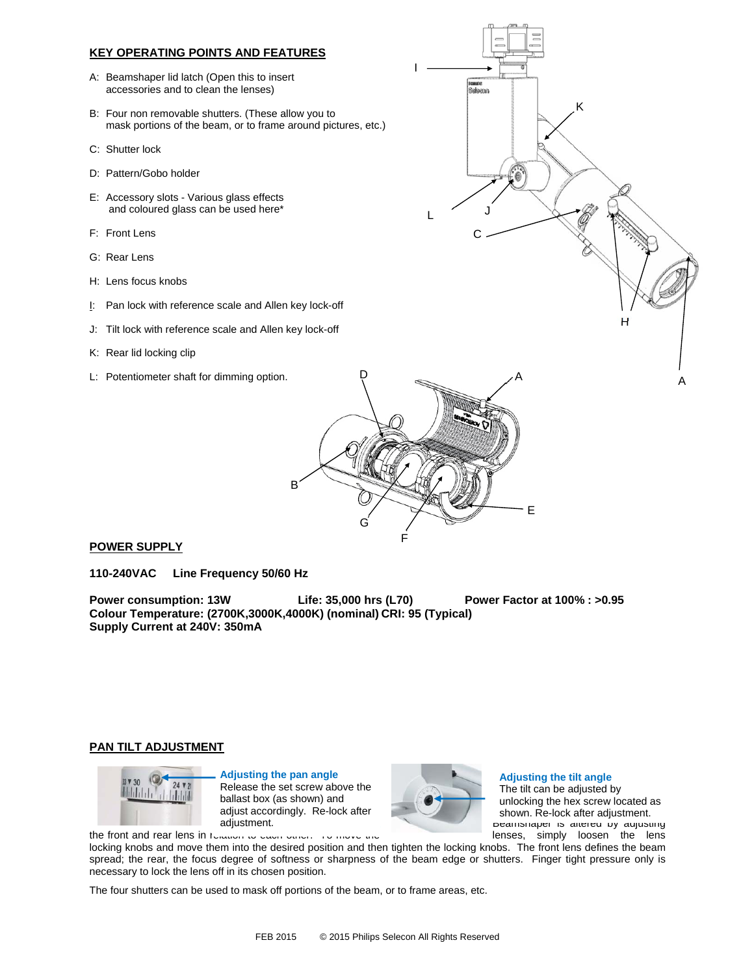## **KEY OPERATING POINTS AND FEATURES**

- A: Beamshaper lid latch (Open this to insert accessories and to clean the lenses)
- B: Four non removable shutters. (These allow you to mask portions of the beam, or to frame around pictures, etc.)
- C: Shutter lock
- D: Pattern/Gobo holder
- E: Accessory slots Various glass effects and coloured glass can be used here\*
- F: Front Lens
- G: Rear Lens
- H: Lens focus knobs
- I: Pan lock with reference scale and Allen key lock-off
- J: Tilt lock with reference scale and Allen key lock-off
- K: Rear lid locking clip
- L: Potentiometer shaft for dimming option.



A



## **POWER SUPPLY**

**110-240VAC Line Frequency 50/60 Hz** 

**Power consumption: 13W Life: 35,000 hrs (L70) Power Factor at 100% : >0.95 Colour Temperature: (2700K,3000K,4000K) (nominal) CRI: 95 (Typical) Supply Current at 240V: 350mA**

## **PAN TILT ADJUSTMENT**



**Follast box (as shown) and the ballast box (as shown) and the state of the ballast box (as shown) and the state of the state of the state of the state of the state of the state of the state of the state of the state of th Adjusting the pan angle**  Release the set screw above the adjust accordingly. Re-lock after adjustment.



#### Deamonaper is anered by adjusting **Adjusting the tilt angle**  The tilt can be adjusted by unlocking the hex screw located as shown. Re-lock after adjustment.

the front and rear lens in relation to each other. To move the lenses and lenses, simply loosen the lens

locking knobs and move them into the desired position and then tighten the locking knobs. The front lens defines the beam spread; the rear, the focus degree of softness or sharpness of the beam edge or shutters. Finger tight pressure only is necessary to lock the lens off in its chosen position.

The four shutters can be used to mask off portions of the beam, or to frame areas, etc.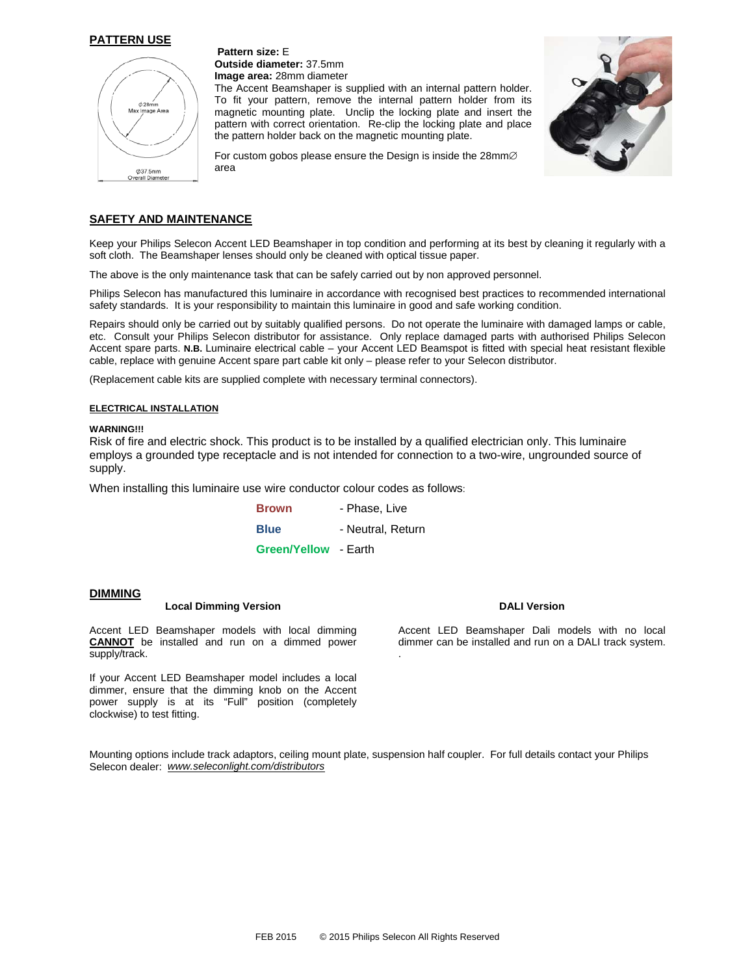## **PATTERN USE**



**Pattern size:** E **Outside diameter:** 37.5mm **Image area:** 28mm diameter

The Accent Beamshaper is supplied with an internal pattern holder. To fit your pattern, remove the internal pattern holder from its magnetic mounting plate. Unclip the locking plate and insert the pattern with correct orientation. Re-clip the locking plate and place the pattern holder back on the magnetic mounting plate.



For custom gobos please ensure the Design is inside the  $28$ mm $\varnothing$ area

## **SAFETY AND MAINTENANCE**

Keep your Philips Selecon Accent LED Beamshaper in top condition and performing at its best by cleaning it regularly with a soft cloth. The Beamshaper lenses should only be cleaned with optical tissue paper.

The above is the only maintenance task that can be safely carried out by non approved personnel.

Philips Selecon has manufactured this luminaire in accordance with recognised best practices to recommended international safety standards. It is your responsibility to maintain this luminaire in good and safe working condition.

Repairs should only be carried out by suitably qualified persons. Do not operate the luminaire with damaged lamps or cable, etc. Consult your Philips Selecon distributor for assistance. Only replace damaged parts with authorised Philips Selecon Accent spare parts. **N.B.** Luminaire electrical cable – your Accent LED Beamspot is fitted with special heat resistant flexible cable, replace with genuine Accent spare part cable kit only – please refer to your Selecon distributor.

(Replacement cable kits are supplied complete with necessary terminal connectors).

#### **ELECTRICAL INSTALLATION**

## **WARNING!!!**

Risk of fire and electric shock. This product is to be installed by a qualified electrician only. This luminaire employs a grounded type receptacle and is not intended for connection to a two-wire, ungrounded source of supply.

When installing this luminaire use wire conductor colour codes as follows:

| <b>Brown</b>                | - Phase, Live     |
|-----------------------------|-------------------|
| <b>Blue</b>                 | - Neutral. Return |
| <b>Green/Yellow - Earth</b> |                   |

## **DIMMING**

## **Local Dimming Version**

Accent LED Beamshaper models with local dimming **CANNOT** be installed and run on a dimmed power supply/track.

If your Accent LED Beamshaper model includes a local dimmer, ensure that the dimming knob on the Accent power supply is at its "Full" position (completely clockwise) to test fitting.

#### **DALI Version**

Accent LED Beamshaper Dali models with no local dimmer can be installed and run on a DALI track system. .

Mounting options include track adaptors, ceiling mount plate, suspension half coupler. For full details contact your Philips Selecon dealer: *www.seleconlight.com/distributors*